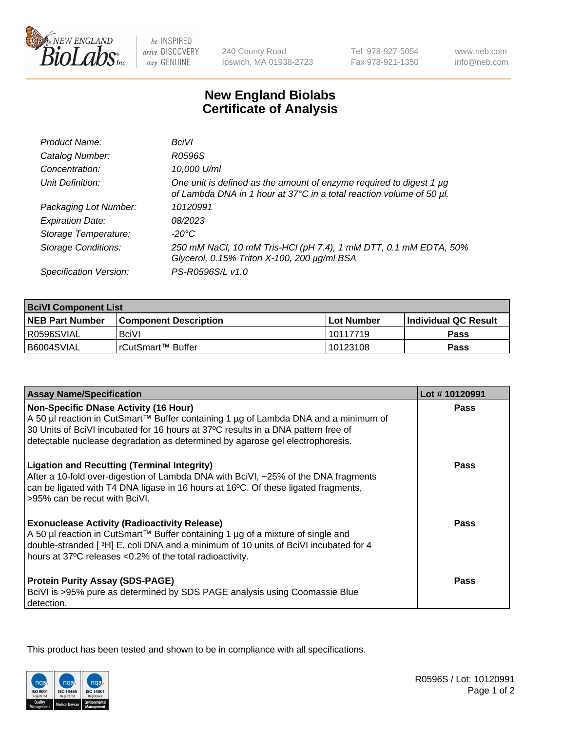

 $be$  INSPIRED drive DISCOVERY stay GENUINE

240 County Road Ipswich, MA 01938-2723 Tel 978-927-5054 Fax 978-921-1350

www.neb.com info@neb.com

## **New England Biolabs Certificate of Analysis**

| Product Name:              | <b>BciVI</b>                                                                                                                                     |
|----------------------------|--------------------------------------------------------------------------------------------------------------------------------------------------|
| Catalog Number:            | R0596S                                                                                                                                           |
| Concentration:             | 10,000 U/ml                                                                                                                                      |
| Unit Definition:           | One unit is defined as the amount of enzyme required to digest 1 $\mu$ g<br>of Lambda DNA in 1 hour at 37°C in a total reaction volume of 50 µl. |
| Packaging Lot Number:      | 10120991                                                                                                                                         |
| <b>Expiration Date:</b>    | 08/2023                                                                                                                                          |
| Storage Temperature:       | -20°C                                                                                                                                            |
| <b>Storage Conditions:</b> | 250 mM NaCl, 10 mM Tris-HCl (pH 7.4), 1 mM DTT, 0.1 mM EDTA, 50%<br>Glycerol, 0.15% Triton X-100, 200 µg/ml BSA                                  |
| Specification Version:     | PS-R0596S/L v1.0                                                                                                                                 |

| <b>BciVI Component List</b> |                              |              |                             |  |
|-----------------------------|------------------------------|--------------|-----------------------------|--|
| <b>NEB Part Number</b>      | <b>Component Description</b> | l Lot Number | <b>Individual QC Result</b> |  |
| I R0596SVIAL                | <b>BciVI</b>                 | 10117719     | Pass                        |  |
| B6004SVIAL                  | l rCutSmart™ Buffer          | 10123108     | Pass                        |  |

| <b>Assay Name/Specification</b>                                                                                                                                                                                                                                                                           | Lot #10120991 |
|-----------------------------------------------------------------------------------------------------------------------------------------------------------------------------------------------------------------------------------------------------------------------------------------------------------|---------------|
| <b>Non-Specific DNase Activity (16 Hour)</b><br>A 50 µl reaction in CutSmart™ Buffer containing 1 µg of Lambda DNA and a minimum of<br>30 Units of BciVI incubated for 16 hours at 37°C results in a DNA pattern free of<br>detectable nuclease degradation as determined by agarose gel electrophoresis. | Pass          |
| <b>Ligation and Recutting (Terminal Integrity)</b><br>After a 10-fold over-digestion of Lambda DNA with BciVI, ~25% of the DNA fragments<br>can be ligated with T4 DNA ligase in 16 hours at 16°C. Of these ligated fragments,<br>>95% can be recut with BciVI.                                           | Pass          |
| <b>Exonuclease Activity (Radioactivity Release)</b><br>A 50 µl reaction in CutSmart™ Buffer containing 1 µg of a mixture of single and<br>double-stranded [3H] E. coli DNA and a minimum of 10 units of BciVI incubated for 4<br>hours at 37°C releases <0.2% of the total radioactivity.                 | <b>Pass</b>   |
| <b>Protein Purity Assay (SDS-PAGE)</b><br>BciVI is >95% pure as determined by SDS PAGE analysis using Coomassie Blue<br>detection.                                                                                                                                                                        | Pass          |

This product has been tested and shown to be in compliance with all specifications.